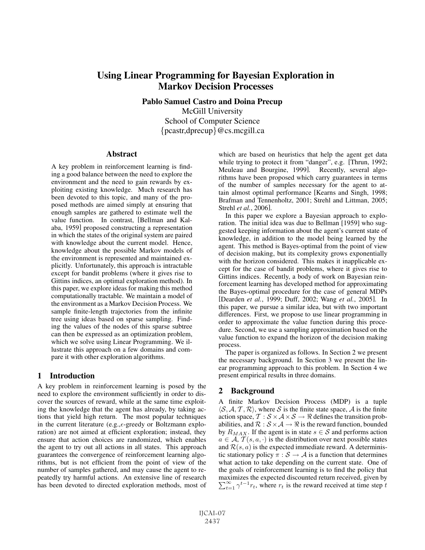# **Using Linear Programming for Bayesian Exploration in Markov Decision Processes**

Pablo Samuel Castro and Doina Precup

McGill University School of Computer Science {pcastr,dprecup}@cs.mcgill.ca

### **Abstract**

A key problem in reinforcement learning is finding a good balance between the need to explore the environment and the need to gain rewards by exploiting existing knowledge. Much research has been devoted to this topic, and many of the proposed methods are aimed simply at ensuring that enough samples are gathered to estimate well the value function. In contrast, [Bellman and Kalaba, 1959] proposed constructing a representation in which the states of the original system are paired with knowledge about the current model. Hence, knowledge about the possible Markov models of the environment is represented and maintained explicitly. Unfortunately, this approach is intractable except for bandit problems (where it gives rise to Gittins indices, an optimal exploration method). In this paper, we explore ideas for making this method computationally tractable. We maintain a model of the environment as a Markov Decision Process. We sample finite-length trajectories from the infinite tree using ideas based on sparse sampling. Finding the values of the nodes of this sparse subtree can then be expressed as an optimization problem, which we solve using Linear Programming. We illustrate this approach on a few domains and compare it with other exploration algorithms.

# 1 Introduction

A key problem in reinforcement learning is posed by the need to explore the environment sufficiently in order to discover the sources of reward, while at the same time exploiting the knowledge that the agent has already, by taking actions that yield high return. The most popular techniques in the current literature (e.g., e-greedy or Boltzmann exploration) are not aimed at efficient exploration; instead, they ensure that action choices are randomized, which enables the agent to try out all actions in all states. This approach guarantees the convergence of reinforcement learning algorithms, but is not efficient from the point of view of the number of samples gathered, and may cause the agent to repeatedly try harmful actions. An extensive line of research has been devoted to directed exploration methods, most of which are based on heuristics that help the agent get data while trying to protect it from "danger", e.g. [Thrun, 1992; Meuleau and Bourgine, 1999]. Recently, several algorithms have been proposed which carry guarantees in terms of the number of samples necessary for the agent to attain almost optimal performance [Kearns and Singh, 1998; Brafman and Tennenholtz, 2001; Strehl and Littman, 2005; Strehl *et al.*, 2006].

In this paper we explore a Bayesian approach to exploration. The initial idea was due to Bellman [1959] who suggested keeping information about the agent's current state of knowledge, in addition to the model being learned by the agent. This method is Bayes-optimal from the point of view of decision making, but its complexity grows exponentially with the horizon considered. This makes it inapplicable except for the case of bandit problems, where it gives rise to Gittins indices. Recently, a body of work on Bayesian reinforcement learning has developed method for approximating the Bayes-optimal procedure for the case of general MDPs [Dearden *et al.*, 1999; Duff, 2002; Wang *et al.*, 2005]. In this paper, we pursue a similar idea, but with two important differences. First, we propose to use linear programming in order to approximate the value function during this procedure. Second, we use a sampling approximation based on the value function to expand the horizon of the decision making process.

The paper is organized as follows. In Section 2 we present the necessary background. In Section 3 we present the linear programming approach to this problem. In Section 4 we present empirical results in three domains.

### 2 Background

A finite Markov Decision Process (MDP) is a tuple  $\langle S, A, T, R \rangle$ , where S is the finite state space, A is the finite action space,  $T : \mathcal{S} \times \mathcal{A} \times \mathcal{S} \rightarrow \mathbb{R}$  defines the transition probabilities, and  $\mathcal{R}: \mathcal{S} \times \mathcal{A} \rightarrow \mathbb{R}$  is the reward function, bounded by  $R_{MAX}$ . If the agent is in state  $s \in S$  and performs action  $a \in \mathcal{A}, \mathcal{T}(s, a, \cdot)$  is the distribution over next possible states and  $\mathcal{R}(s, a)$  is the expected immediate reward. A deterministic stationary policy  $\pi : \mathcal{S} \to \mathcal{A}$  is a function that determines what action to take depending on the current state. One of the goals of reinforcement learning is to find the policy that maximizes the expected discounted return received, given by  $\sum_{t=1}^{\infty} \gamma^{t-1} r_t$ , where  $r_t$  is the reward received at time step t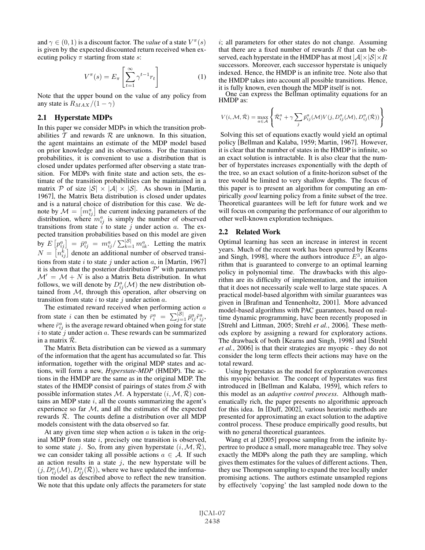and  $\gamma \in (0, 1)$  is a discount factor. The *value* of a state  $V^{\pi}(s)$ is given by the expected discounted return received when executing policy  $\pi$  starting from state s:

$$
V^{\pi}(s) = E_{\pi} \left[ \sum_{t=1}^{\infty} \gamma^{t-1} r_t \right]
$$
 (1)

Note that the upper bound on the value of any policy from any state is  $R_{MAX}/(1 - \gamma)$ 

### 2.1 Hyperstate MDPs

In this paper we consider MDPs in which the transition probabilities  $T$  and rewards  $R$  are unknown. In this situation, the agent maintains an estimate of the MDP model based on prior knowledge and its observations. For the transition probabilities, it is convenient to use a distribution that is closed under updates performed after observing a state transition. For MDPs with finite state and action sets, the estimate of the transition probabilities can be maintained in a matrix P of size  $|S| \times |A| \times |S|$ . As shown in [Martin, 1967], the Matrix Beta distribution is closed under updates and is a natural choice of distribution for this case. We denote by  $\mathcal{M} = [m_{ij}^a]$  the current indexing parameters of the distribution, where  $m_{ij}^a$  is simply the number of observed transitions from state  $\hat{i}$  to state  $\hat{j}$  under action a. The expected transition probabilities based on this model are given by  $E\left[p_{ij}^a\right] = \bar{p}_{ij}^a = m_{ij}^a / \sum_{k=1}^{\mathcal{|S|}} m_{ik}^a$ . Letting the matrix  $N = \overline{[n_{ij}^k]}$  denote an additional number of observed transitions from state i to state j under action a, in [Martin, 1967] it is shown that the posterior distribution  $\mathcal{P}'$  with parameters  $\mathcal{M}' = \mathcal{M} + N$  is also a Matrix Beta distribution. In what follows, we will denote by  $D_{ij}^a(\mathcal{M})$  the new distribution obtained from  $M$ , through this operation, after observing on transition from state i to state j under action  $a$ .

The estimated reward received when performing action  $a$ from state i can then be estimated by  $\bar{r}_i^a = \sum_{i=1}^{|S|} \bar{p}_{i}^a \tilde{r}_{i}^a$ where  $\tilde{r}_{ij}^a$  is the average reward obtained when going for state i to state j under action  $a$ . These rewards can be summarized in a matrix  $\overline{\mathcal{R}}$ .

The Matrix Beta distribution can be viewed as a summary of the information that the agent has accumulated so far. This information, together with the original MDP states and actions, will form a new, *Hyperstate-MDP* (HMDP). The actions in the HMDP are the same as in the original MDP. The states of the HMDP consist of pairings of states from  $S$  with possible information states M. A hyperstate  $(i, \mathcal{M}, \mathcal{R})$  contains an MDP state  $i$ , all the counts summarizing the agent's experience so far  $M$ , and all the estimates of the expected rewards  $\overline{\mathcal{R}}$ . The counts define a distribution over all MDP models consistent with the data observed so far.

At any given time step when action  $a$  is taken in the original MDP from state i, precisely one transition is observed, to some state j. So, from any given hyperstate  $(i, \mathcal{M}, \mathcal{R})$ , we can consider taking all possible actions  $a \in A$ . If such an action results in a state  $j$ , the new hyperstate will be  $(j, D_{ij}^a(\mathcal{M}), D_{ij}^a(\bar{\mathcal{R}}))$ , where we have updated the innformation model as described above to reflect the new transition. We note that this update only affects the parameters for state  $i$ ; all parameters for other states do not change. Assuming that there are a fixed number of rewards  $R$  that can be observed, each hyperstate in the HMDP has at most  $|\mathcal{A}| \times |\mathcal{S}| \times R$ successors. Moreover, each successor hyperstate is uniquely indexed. Hence, the HMDP is an infinite tree. Note also that the HMDP takes into account all possible transitions. Hence, it is fully known, even though the MDP itself is not.

One can express the Bellman optimality equations for an HMDP as:

$$
V(i, \mathcal{M}, \bar{\mathcal{R}}) = \max_{a \in \mathcal{A}} \left\{ \bar{\mathcal{R}}_i^a + \gamma \sum_j \bar{p}_{ij}^a(\mathcal{M}) V(j, D_{ij}^a(\mathcal{M}), D_{ij}^a(\bar{\mathcal{R}})) \right\}
$$

Solving this set of equations exactly would yield an optimal policy [Bellman and Kalaba, 1959; Martin, 1967]. However, it is clear that the number of states in the HMDP is infinite, so an exact solution is intractable. It is also clear that the number of hyperstates increases exponentially with the depth of the tree, so an exact solution of a finite-horizon subset of the tree would be limited to very shallow depths. The focus of this paper is to present an algorithm for computing an empirically *good* learning policy from a finite subset of the tree. Theoretical guarantees will be left for future work and we will focus on comparing the performance of our algorithm to other well-known exploration techniques.

#### 2.2 Related Work

Optimal learning has seen an increase in interest in recent years. Much of the recent work has been spurred by [Kearns and Singh, 1998], where the authors introduce  $E^3$ , an algorithm that is guaranteed to converge to an optimal learning policy in polynomial time. The drawbacks with this algorithm are its difficulty of implementation, and the intuition that it does not necessarily scale well to large state spaces. A practical model-based algorithm with similar guarantees was given in [Brafman and Tennenholtz, 2001]. More advanced model-based algorithms with PAC guarantees, based on realtime dynamic programming, have been recently proposed in [Strehl and Littman, 2005; Strehl *et al.*, 2006]. These methods explore by assigning a reward for exploratory actions. The drawback of both [Kearns and Singh, 1998] and [Strehl *et al.*, 2006] is that their strategies are myopic - they do not consider the long term effects their actions may have on the total reward.

Using hyperstates as the model for exploration overcomes this myopic behavior. The concept of hyperstates was first introduced in [Bellman and Kalaba, 1959], which refers to this model as an *adaptive control process*. Although mathematically rich, the paper presents no algorithmic approach for this idea. In [Duff, 2002], various heuristic methods are presented for approximating an exact solution to the adaptive control process. These produce empirically good results, but with no general theoretical guarantees.

Wang et al [2005] propose sampling from the infinite hypertree to produce a small, more manageable tree. They solve exactly the MDPs along the path they are sampling, which gives them estimates for the values of different actions. Then, they use Thompson sampling to expand the tree locally under promising actions. The authors estimate unsampled regions by effectively 'copying' the last sampled node down to the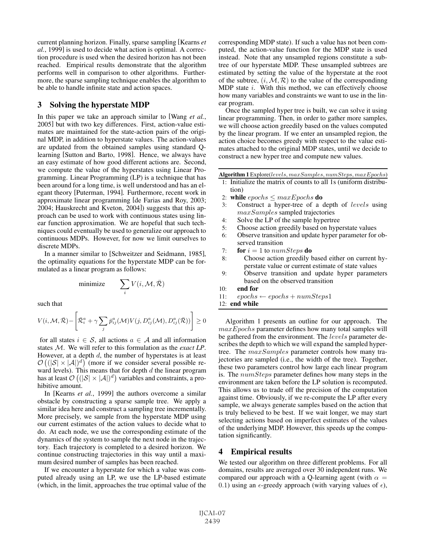current planning horizon. Finally, sparse sampling [Kearns *et al.*, 1999] is used to decide what action is optimal. A correction procedure is used when the desired horizon has not been reached. Empirical results demonstrate that the algorithm performs well in comparison to other algorithms. Furthermore, the sparse sampling technique enables the algorithm to be able to handle infinite state and action spaces.

## 3 Solving the hyperstate MDP

In this paper we take an approach similar to [Wang *et al.*, 2005] but with two key differences. First, action-value estimates are maintained for the state-action pairs of the original MDP, in addition to hyperstate values. The action-values are updated from the obtained samples using standard Qlearning [Sutton and Barto, 1998]. Hence, we always have an easy estimate of how good different actions are. Second, we compute the value of the hyperstates using Linear Programming. Linear Programming (LP) is a technique that has been around for a long time, is well understood and has an elegant theory [Puterman, 1994]. Furthermore, recent work in approximate linear programming [de Farias and Roy, 2003; 2004; Hauskrecht and Kveton, 2004]) suggests that this approach can be used to work with continuous states using linear function approximation. We are hopeful that such techniques could eventually be used to generalize our approach to continuous MDPs. However, for now we limit ourselves to discrete MDPs.

In a manner similar to [Schweitzer and Seidmann, 1985], the optimality equations for the hyperstate MDP can be formulated as a linear program as follows:

$$
\text{minimize} \qquad \sum_{i} V(i, \mathcal{M}, \bar{\mathcal{R}})
$$

such that

$$
V(i,\mathcal{M},\bar{\mathcal{R}}) - \left[\bar{\mathcal{R}}_i^a + \gamma \sum_j \bar{p}_{ij}^a(\mathcal{M}) V(j, D_{ij}^a(\mathcal{M}), D_{ij}^a(\bar{\mathcal{R}}))\right] \geq 0
$$

for all states  $i \in S$ , all actions  $a \in A$  and all information states M. We will refer to this formulation as the *exact LP*. However, at a depth  $d$ , the number of hyperstates is at least  $\mathcal{O}\left((|\mathcal{S}| \times |\mathcal{A}|)^d\right)$  (more if we consider several possible reward levels). This means that for depth  $d$  the linear program has at least  $\mathcal{O}((|\mathcal{S}| \times |\mathcal{A}|)^d)$  variables and constraints, a prohibitive amount.

In [Kearns *et al.*, 1999] the authors overcome a similar obstacle by constructing a sparse sample tree. We apply a similar idea here and construct a sampling tree incrementally. More precisely, we sample from the hyperstate MDP using our current estimates of the action values to decide what to do. At each node, we use the corresponding estimate of the dynamics of the system to sample the next node in the trajectory. Each trajectory is completed to a desired horizon. We continue constructing trajectories in this way until a maximum desired number of samples has been reached.

If we encounter a hyperstate for which a value was computed already using an LP, we use the LP-based estimate (which, in the limit, approaches the true optimal value of the corresponding MDP state). If such a value has not been computed, the action-value function for the MDP state is used instead. Note that any unsampled regions constitute a subtree of our hyperstate MDP. These unsampled subtrees are estimated by setting the value of the hyperstate at the root of the subtree,  $(i, \mathcal{M}, \mathcal{R})$  to the value of the correspondinng MDP state *i*. With this method, we can effectively choose how many variables and constraints we want to use in the linear program.

Once the sampled hyper tree is built, we can solve it using linear programming. Then, in order to gather more samples, we will choose action greedily based on the values computed by the linear program. If we enter an unsampled region, the action choice becomes greedy with respect to the value estimates attached to the original MDP states, until we decide to construct a new hyper tree and compute new values.

Algorithm 1 Explore(levels, maxSamples, numSteps, maxEpochs)

- 1: Initialize the matrix of counts to all 1s (uniform distribution)
- 2: while  $epochs \leq maxEpochs$  do
- 3: Construct a hyper-tree of a depth of levels using maxSamples sampled trajectories
- 4: Solve the LP of the sample hypertree
- 5: Choose action greedily based on hyperstate values
- 6: Observe transition and update hyper parameter for observed transition
- 7: **for**  $i = 1$  to numSteps **do**
- 8: Choose action greedily based either on current hyperstate value or current estimate of state values
- 9: Observe transition and update hyper parameters based on the observed transition
- 10: end for
- 11:  $epochs \leftarrow epochs + numSteps1$
- 12: end while

Algorithm 1 presents an outline for our approach. The  $maxEpochs$  parameter defines how many total samples will be gathered from the environment. The *levels* parameter describes the depth to which we will expand the sampled hypertree. The  $maxSamples$  parameter controls how many trajectories are sampled (i.e., the width of the tree). Together, these two parameters control how large each linear program is. The numSteps parameter defines how many steps in the environment are taken before the LP solution is recomputed. This allows us to trade off the precision of the computation against time. Obviously, if we re-compute the LP after every sample, we always generate samples based on the action that is truly believed to be best. If we wait longer, we may start selecting actions based on imperfect estimates of the values of the underlying MDP. However, this speeds up the computation significantly.

## 4 Empirical results

We tested our algorithm on three different problems. For all domains, results are averaged over 30 independent runs. We compared our approach with a Q-learning agent (with  $\alpha =$ 0.1) using an  $\epsilon$ -greedy approach (with varying values of  $\epsilon$ ),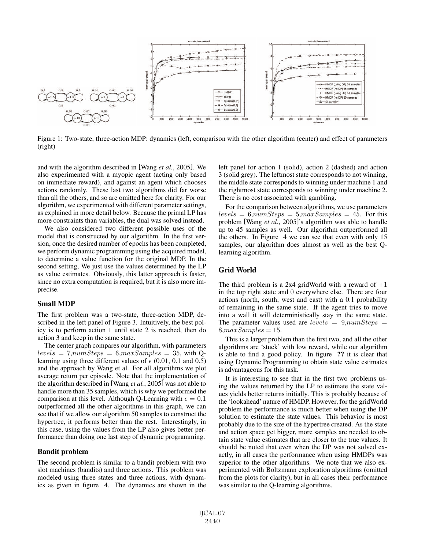

Figure 1: Two-state, three-action MDP: dynamics (left, comparison with the other algorithm (center) and effect of parameters (right)

and with the algorithm described in [Wang *et al.*, 2005]. We also experimented with a myopic agent (acting only based on immediate reward), and against an agent which chooses actions randomly. These last two algorithms did far worse than all the others, and so are omitted here for clarity. For our algorithm, we experimented with different parameter settings, as explained in more detail below. Because the primal LP has more constraints than variables, the dual was solved instead.

We also considered two different possible uses of the model that is constructed by our algorithm. In the first version, once the desired number of epochs has been completed, we perform dynamic programming using the acquired model, to determine a value function for the original MDP. In the second setting, We just use the values determined by the LP as value estimates. Obviously, this latter approach is faster, since no extra computation is required, but it is also more imprecise.

#### Small MDP

The first problem was a two-state, three-action MDP, described in the left panel of Figure 3. Intuitively, the best policy is to perform action 1 until state 2 is reached, then do action 3 and keep in the same state.

The center graph compares our algorithm, with parameters  $levels = 7, numSteps = 6, maxSamples = 35, with Q$ learning using three different values of  $\epsilon$  (0.01, 0.1 and 0.5) and the approach by Wang et al. For all algorithms we plot average return per episode. Note that the implementation of the algorithm described in [Wang *et al.*, 2005] was not able to handle more than 35 samples, which is why we performed the comparison at this level. Although Q-Learning with  $\epsilon = 0.1$ outperformed all the other algorithms in this graph, we can see that if we allow our algorithm 50 samples to construct the hypertree, it performs better than the rest. Interestingly, in this case, using the values from the LP also gives better performance than doing one last step of dynamic programming.

#### Bandit problem

The second problem is similar to a bandit problem with two slot machines (bandits) and three actions. This problem was modeled using three states and three actions, with dynamics as given in figure 4. The dynamics are shown in the left panel for action 1 (solid), action 2 (dashed) and action 3 (solid grey). The leftmost state corresponds to not winning, the middle state corresponds to winning under machine 1 and the rightmost state corresponds to winning under machine 2. There is no cost associated with gambling.

For the comparison between algorithms, we use parameters  $levels = 6, numSteps = 5, maxSamples = 45.$  For this problem [Wang *et al.*, 2005]'s algorithm was able to handle up to 45 samples as well. Our algorithm outperformed all the others. In Figure 4 we can see that even with only 15 samples, our algorithm does almost as well as the best Qlearning algorithm.

### Grid World

The third problem is a 2x4 gridWorld with a reward of  $+1$ in the top right state and 0 everywhere else. There are four actions (north, south, west and east) with a 0.1 probability of remaining in the same state. If the agent tries to move into a wall it will deterministically stay in the same state. The parameter values used are  $levels = 9, numSteps =$  $8, max Samples = 15.$ 

This is a larger problem than the first two, and all the other algorithms are 'stuck' with low reward, while our algorithm is able to find a good policy. In figure ?? it is clear that using Dynamic Programming to obtain state value estimates is advantageous for this task.

It is interesting to see that in the first two problems using the values returned by the LP to estimate the state values yields better returns initially. This is probably because of the 'lookahead' nature of HMDP. However, for the gridWorld problem the performance is much better when using the DP solution to estimate the state values. This behavior is most probably due to the size of the hypertree created. As the state and action space get bigger, more samples are needed to obtain state value estimates that are closer to the true values. It should be noted that even when the DP was not solved exactly, in all cases the performance when using HMDPs was superior to the other algorithms. We note that we also experimented with Boltzmann exploration algorithms (omitted from the plots for clarity), but in all cases their performance was similar to the Q-learning algorithms.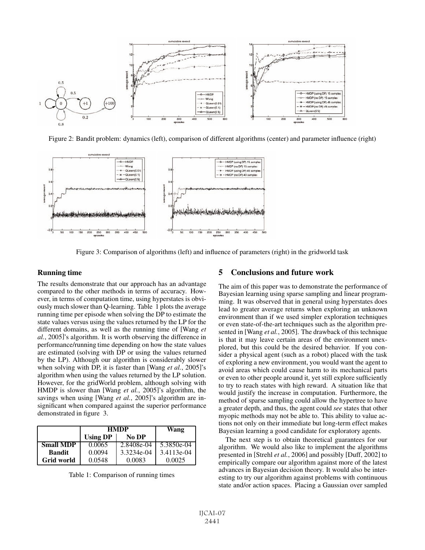

Figure 2: Bandit problem: dynamics (left), comparison of different algorithms (center) and parameter influence (right)



Figure 3: Comparison of algorithms (left) and influence of parameters (right) in the gridworld task

#### Running time

The results demonstrate that our approach has an advantage compared to the other methods in terms of accuracy. However, in terms of computation time, using hyperstates is obviously much slower than Q-learning. Table 1 plots the average running time per episode when solving the DP to estimate the state values versus using the values returned by the LP for the different domains, as well as the running time of [Wang *et al.*, 2005]'s algorithm. It is worth observing the difference in performance/running time depending on how the state values are estimated (solving with DP or using the values returned by the LP). Although our algorithm is considerably slower when solving with DP, it is faster than [Wang *et al.*, 2005]'s algorithm when using the values returned by the LP solution. However, for the gridWorld problem, although solving with HMDP is slower than [Wang *et al.*, 2005]'s algorithm, the savings when using [Wang *et al.*, 2005]'s algorithm are insignificant when compared against the superior performance demonstrated in figure 3.

|                  | <b>HMDP</b>     |            | Wang       |
|------------------|-----------------|------------|------------|
|                  | <b>Using DP</b> | No DP      |            |
| <b>Small MDP</b> | 0.0065          | 2.8408e-04 | 5.3850e-04 |
| <b>Bandit</b>    | 0.0094          | 3.3234e-04 | 3.4113e-04 |
| Grid world       | 0.0548          | 0.0083     | 0.0025     |

Table 1: Comparison of running times

### 5 Conclusions and future work

The aim of this paper was to demonstrate the performance of Bayesian learning using sparse sampling and linear programming. It was observed that in general using hyperstates does lead to greater average returns when exploring an unknown environment than if we used simpler exploration techniques or even state-of-the-art techniques such as the algorithm presented in [Wang *et al.*, 2005]. The drawback of this technique is that it may leave certain areas of the environment unexplored, but this could be the desired behavior. If you consider a physical agent (such as a robot) placed with the task of exploring a new environment, you would want the agent to avoid areas which could cause harm to its mechanical parts or even to other people around it, yet still explore sufficiently to try to reach states with high reward. A situation like that would justify the increase in computation. Furthermore, the method of sparse sampling could allow the hypertree to have a greater depth, and thus, the agent could *see* states that other myopic methods may not be able to. This ability to value actions not only on their immediate but long-term effect makes Bayesian learning a good candidate for exploratory agents.

The next step is to obtain theoretical guarantees for our algorithm. We would also like to implement the algorithms presented in [Strehl *et al.*, 2006] and possibly [Duff, 2002] to empirically compare our algorithm against more of the latest advances in Bayesian decision theory. It would also be interesting to try our algorithm against problems with continuous state and/or action spaces. Placing a Gaussian over sampled